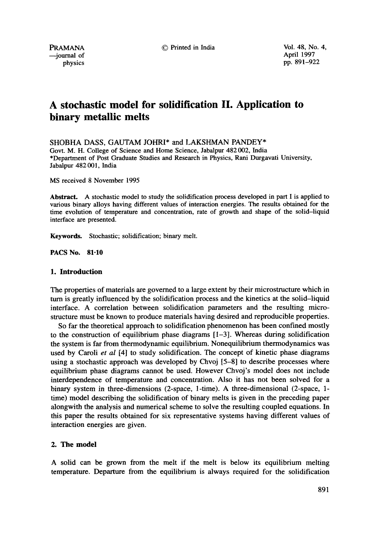$-$ iournal of

PRAMANA © Printed in India Vol. 48, No. 4,  $\rightarrow$  journal of April 1997 physics pp. 891-922

# **A stochastic model for solidification II. Application to binary metallic melts**

SHOBHA DASS, GAUTAM JOHRI\* and LAKSHMAN PANDEY\*

Govt. M. H. College of Science and Home Science, Jabalpur 482 002, India \*Department of Post Graduate Studies and Research in Physics, Rani Durgavati University, Jabalpur 482 001, India

MS received 8 November 1995

**Abstract.** A stochastic model to study the solidification process developed in part I is applied to various binary alloys having different values of interaction energies. The results obtained for the time evolution of temperature and concentration, rate of growth and shape of the solid-liquid interface are presented.

**Keywords.** Stochastic; solidification; binary melt.

**PACS** No. 81.10

### **1. Introduction**

The properties of materials are governed to a large extent by their microstructure which in turn is greatly influenced by the solidification process and the kinetics at the solid-liquid interface. A correlation between solidification parameters and the resulting microstructure must be known to produce materials having desired and reproducible properties.

So far the theoretical approach to solidification phenomenon has been confined mostly to the construction of equilibrium phase diagrams [1-3]. Whereas during solidification the system is far from thermodynamic equilibrium. Nonequilibrium thermodynamics was used by Caroli *et al* [4] to study solidification. The concept of kinetic phase diagrams using a stochastic approach was developed by Chvoj [5-8] to describe processes where equilibrium phase diagrams cannot be used. However Chvoj's model does not include interdependence of temperature and concentration. Also it has not been solved for a binary system in three-dimensions (2-space, 1-time). A three-dimensional (2-space, 1 time) model describing the solidification of binary melts is given in the preceding paper alongwith the analysis and numerical scheme to solve the resulting coupled equations. In this paper the results obtained for six representative systems having different values of interaction energies are given.

### **2. The model**

A solid can be grown from the melt if the melt is below its equilibrium melting temperature. Departure from the equilibrium is always required for the solidification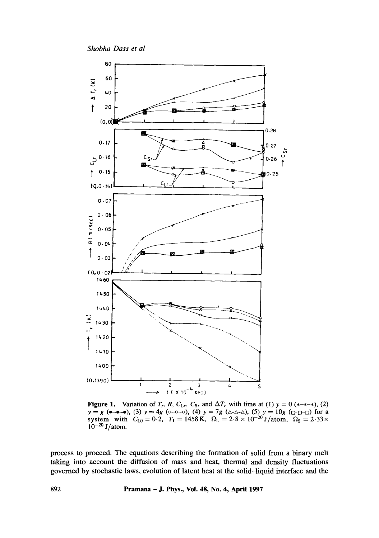

**Figure 1.** Variation of  $T_r$ , R,  $C_{\text{L}r}$ ,  $C_{\text{S}r}$  and  $\Delta T_r$  with time at (1)  $y = 0$  (\*-\*-\*), (2)  $y = g$  (**a**-**a**-b), (3)  $y = 4g$  (**b**-**b**-**b**), (4)  $y = 7g$  ( $\triangle$ - $\triangle$ - $\triangle$ ), (5)  $y = 10g$  ( $\Box$ - $\Box$ - $\Box$ ) for a<br>system with  $C_{L0} = 0.2$ ,  $T_1 = 1458$  K,  $\Omega_L = 2.8 \times 10^{-20}$  J/atom,  $\Omega_S = 2.33 \times$  $10^{-20}$  J/atom.

process to proceed. The equations describing the formation of solid from a binary melt taking into account the diffusion of mass and heat, thermal and density fluctuations governed by stochastic laws, evolution of latent heat at the solid-liquid interface and the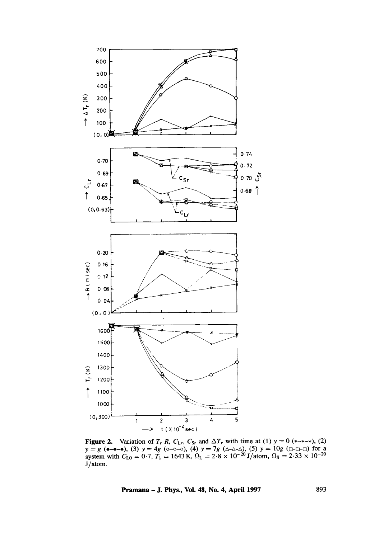

Figure 2. Variation of  $T_r$  R,  $C_{\text{L}r}$ ,  $C_{\text{Sr}}$  and  $\Delta T_r$  with time at (1)  $y = 0$  (\*-\*-\*), (2)  $y = g$  ( $\bullet$ - $\bullet$ - $\bullet$ ), (3)  $y = 4g$  ( $\circ$ - $\circ$ - $\circ$ ), (4)  $y = 7g$  ( $\triangle$ - $\triangle$  $\circ$ ), (5)  $y = 10g$  ( $\Box$ - $\Box$  $\Box$ ) for a system with  $C_{L0} = 0.7$ ,  $T_1 = 1643$  K,  $\Omega_L = 2.8 \times 10^{-20}$  J/atom,  $\Omega_S = 2.33 \times 10^{-20}$ J/atom.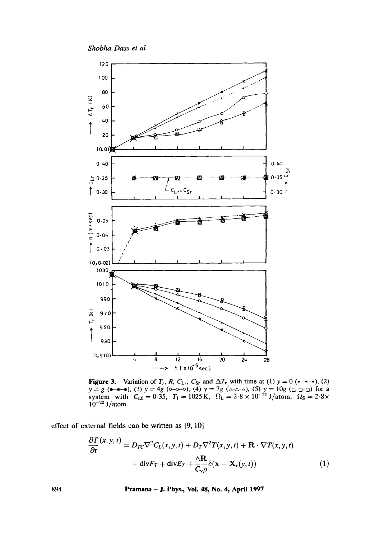

**Figure 3.** Variation of  $T_r$ ,  $R$ ,  $C_{Lr}$ ,  $C_{Sr}$  and  $\Delta T_r$  with time at (1)  $y = 0$  (\*-\*-\*), (2)  $y = g$  (•-•-•), (3)  $y = 4g$  ( $o-o-o$ ), (4)  $y = 7g$  ( $\Delta-\Delta-\Delta$ ), (5)  $y = 10g$  ( $\Box-\Box$ ) for a system with  $C_{L0} = 0.35$ ,  $T_1 =$  $10^{-20}$  J/atom.

effect of external fields can be written as [9, 10]

$$
\frac{\partial T}{\partial t}(x, y, t) = D_{TC} \nabla^2 C_L(x, y, t) + D_T \nabla^2 T(x, y, t) + \mathbf{R} \cdot \nabla T(x, y, t) \n+ \text{div} F_T + \text{div} E_T + \frac{\Delta \mathbf{R}}{C_v \rho} \delta(\mathbf{x} - \mathbf{X}_r(y, t))
$$
\n(1)

Pramana - J. Phys., Vol. 48, No. 4, April 1997

894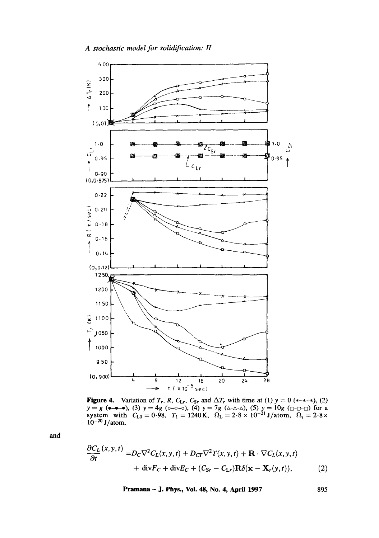

**Figure 4.** Variation of  $T_r$ , R,  $C_{Lr}$ ,  $C_{Sr}$  and  $\Delta T_r$  with time at (1)  $y = 0$  (\*-\*-\*), (2)  $y = g$  ( $\bullet - \bullet - \bullet$ ), (3)  $y = 4g$  ( $\circ - \circ - \circ$ ), (4)  $y = 7g$  ( $\triangle - \triangle - \wedge$ ), (5)  $y = 10g$  ( $\Box - \Box - \Box$ ) for a system with  $C_{L0} = 0.98$ ,  $T_1 = 1240$  K,  $\Omega_L = 2.8 \times 10^{-21}$  J/atom,  $\Omega_s = 2.8 \times 10^{-20}$  $10^{-20}$  J/atom.

and

$$
\frac{\partial C_L}{\partial t}(x, y, t) = D_C \nabla^2 C_L(x, y, t) + D_{CT} \nabla^2 T(x, y, t) + \mathbf{R} \cdot \nabla C_L(x, y, t) \n+ \text{div} F_C + \text{div} E_C + (C_{S_r} - C_{L_r}) \mathbf{R} \delta(\mathbf{x} - \mathbf{X}_r(y, t)),
$$
\n(2)

Pramana - J. Phys., Vol. 48, No. 4, April 1997

895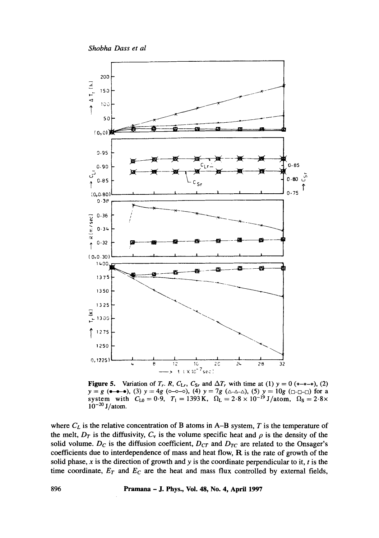

**Figure 5.** Variation of  $T_r$ . R,  $C_{Lr}$ ,  $C_{Sr}$  and  $\Delta T_r$  with time at (1)  $y = 0$  (\*-\*-\*), (2)  $y = g$  ( $\bullet$ - $\bullet$ - $\bullet$ ), (3)  $y = 4g$  ( $\circ$ - $\circ$ - $\circ$ ), (4)  $y = 7g$  ( $\circ$ - $\circ$ - $\circ$ ), (5)  $y = 10g$  ( $\circ$ - $\circ$ - $\circ$ ) for a system with  $C_{L0} = 0.9$ ,  $T_1 = 1393$  K,  $\Omega_L = 2.8 \times 10^{-19}$  J/atom,  $\Omega_S = 2.8 \times 10^{-19}$  $10^{-20}$  J/atom.

where  $C_L$  is the relative concentration of B atoms in A-B system,  $T$  is the temperature of the melt,  $D_T$  is the diffusivity,  $C_v$  is the volume specific heat and  $\rho$  is the density of the solid volume.  $D_C$  is the diffusion coefficient,  $D_{CT}$  and  $D_{TC}$  are related to the Onsager's **coefficients due to interdependence of mass and heat flow, R is the rate of growth of the**  solid phase, x is the direction of growth and y is the coordinate perpendicular to it, t is the time coordinate,  $E_T$  and  $E_C$  are the heat and mass flux controlled by external fields,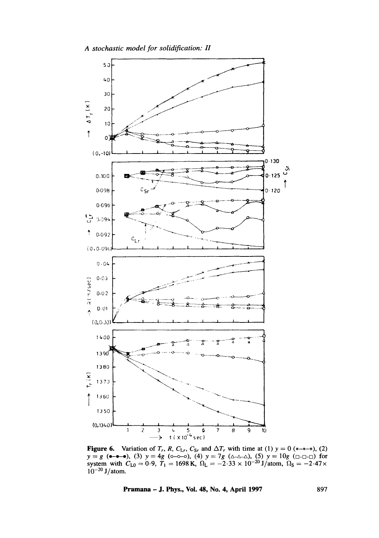

**Figure 6.** Variation of  $T_r$ , R,  $C_{Lr}$ ,  $C_{Sr}$  and  $\Delta T_r$  with time at (1)  $y = 0$  (\*-\*-\*), (2)  $y = g$  ( $\bullet \bullet \bullet \bullet$ ), (3)  $y = 4g$  ( $\circ \circ \circ \circ$ ), (4)  $y = 7g$  ( $\triangle \circ \triangle \circ$ ), (5)  $y = 10g$  ( $\Box \circ \Box \circ \Box$ ) for system with  $C_{L0} = 0.9$ ,  $T_1 = 1698$  K,  $\Omega_L = -2.33 \times 10^{-20}$  J/atom,  $\Omega_S = -2.47 \times$  $10^{-20}$  J/atom.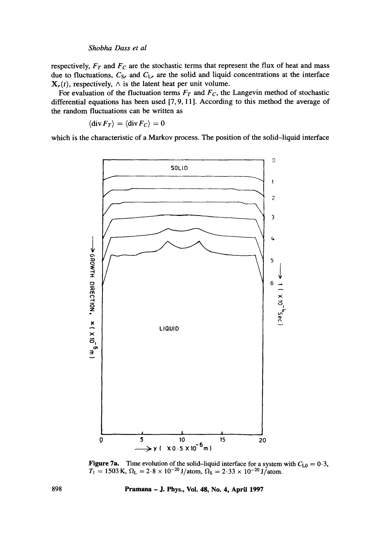respectively,  $F_T$  and  $F_C$  are the stochastic terms that represent the flux of heat and mass **due to fluctuations,** *Csr and CLr are the* **solid and liquid concentrations at the interface**   $\mathbf{X}_r(t)$ , respectively,  $\wedge$  is the latent heat per unit volume.

For evaluation of the fluctuation terms  $F_T$  and  $F_C$ , the Langevin method of stochastic **differential equations has been used [7, 9, 11]. According to this method the average of the random fluctuations can be written as** 

$$
\langle \operatorname{div} F_T \rangle = \langle \operatorname{div} F_C \rangle = 0
$$

**which is the characteristic of a Markov process. The position of the solid-liquid interface** 



**Figure 7a.** Time evolution of the solid-liquid interface for a system with  $C_{10} = 0.3$ ,  $T_1 = 1503 \text{ K}, \, \Omega_{\text{L}} = 2.8 \times 10^{-20} \text{ J/atom}, \, \Omega_{\text{S}} = 2.33 \times 10^{-20} \text{ J/atom}.$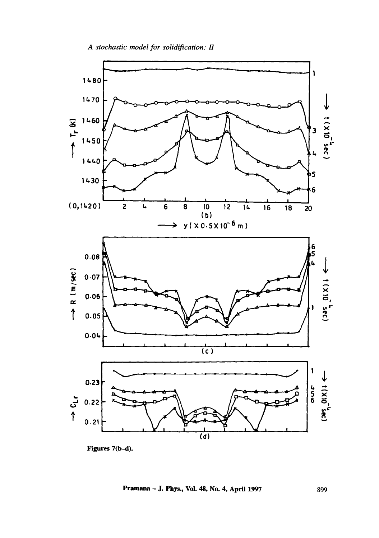

899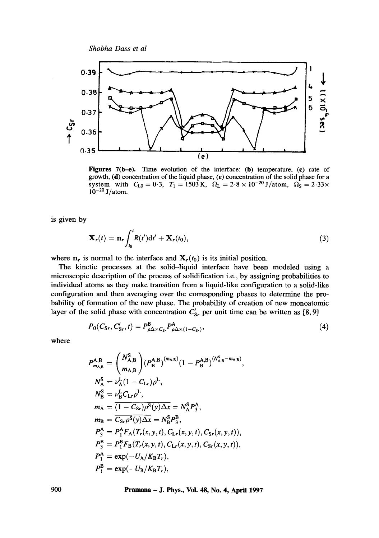

Figures 7(b-e). Time evolution of the interface: (b) temperature, (c) rate of growth, (d) concentration of the liquid phase, (e) concentration of the solid phase for a system with  $C_{L0}=0.3$ ,  $T_1=1503 \text{ K}$ ,  $\Omega_L=2.8 \times 10^{-20} \text{ J/atom}$ ,  $\Omega_S=2.33 \times$  $10^{-20}$  J/atom.

is given by

$$
\mathbf{X}_r(t) = \mathbf{n}_r \int_{t_0}^t R(t') \mathrm{d}t' + \mathbf{X}_r(t_0), \tag{3}
$$

where  $n_r$  is normal to the interface and  $X_r(t_0)$  is its initial position.

The kinetic processes at the solid-liquid interface have been modeled using a microscopic description of the process of solidification i.e., by assigning probabilities to individual atoms as they make transition from a liquid-like configuration to a solid-like configuration and then averaging over the corresponding phases to determine the probability of formation of the new phase. The probability of creation of new monoatomic layer of the solid phase with concentration  $\overline{C}_{S_r}$  per unit time can be written as [8, 9]

$$
P_0(C_{Sr}, C'_{Sr}, t) = P_{\rho \Delta \times C_{Sr}}^{\mathbf{B}} P_{\rho \Delta \times (1 - C_{Sr})}^{\mathbf{A}}, \qquad (4)
$$

where

$$
P_{m_{A,B}}^{A,B} = {N_{A,B}^{S} \choose m_{A,B}} (P_{B}^{A,B})^{(m_{A,B})} (1 - P_{B}^{A,B})^{(N_{A,B}^{S} - m_{A,B})},
$$
  
\n
$$
N_{A}^{S} = \nu_{A}^{L} (1 - C_{Lr}) \rho^{L},
$$
  
\n
$$
N_{B}^{S} = \nu_{B}^{L} C_{Lr} \rho^{L},
$$
  
\n
$$
m_{A} = \overline{(1 - C_{Sr}) \rho^{S}(y) \Delta x} = N_{A}^{S} P_{3}^{A},
$$
  
\n
$$
m_{B} = \overline{C_{Sr} \rho^{S}(y) \Delta x} = N_{B}^{S} P_{3}^{B},
$$
  
\n
$$
P_{3}^{A} = P_{1}^{A} F_{A} (T_{r}(x, y, t), C_{Lr}(x, y, t), C_{Sr}(x, y, t)),
$$
  
\n
$$
P_{1}^{B} = P_{1}^{B} F_{B} (T_{r}(x, y, t), C_{Lr}(x, y, t), C_{Sr}(x, y, t)),
$$
  
\n
$$
P_{1}^{A} = \exp(-U_{A}/K_{B} T_{r}),
$$
  
\n
$$
P_{1}^{B} = \exp(-U_{B}/K_{B} T_{r}),
$$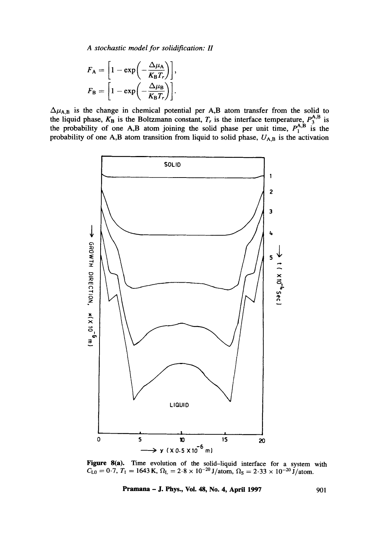*A stochastic model for solidification: H* 

$$
F_{\rm A} = \left[1 - \exp\left(-\frac{\Delta \mu_{\rm A}}{K_{\rm B}T_r}\right)\right],
$$
  

$$
F_{\rm B} = \left[1 - \exp\left(-\frac{\Delta \mu_{\rm B}}{K_{\rm B}T_r}\right)\right].
$$

 $\Delta \mu_{A,B}$  is the change in chemical potential per A,B atom transfer from the solid to the liquid phase,  $K_B$  is the Boltzmann constant,  $T_r$  is the interface temperature,  $P_A^{A,D}$  is the probability of one A,B atom joining the solid phase per unit time,  $P_1^{A,D}$  is the probability of one A,B atom transition from liquid to solid phase,  $U_{A,B}$  is the activation



**Figure 8(a). Time evolution of the solid-liquid interface for a system with**   $C_{L0} = 0.7$ ,  $T_1 = 1643$  K,  $\Omega_L = 2.8 \times 10^{-20}$  J/atom,  $\Omega_S = 2.33 \times 10^{-20}$  J/atom.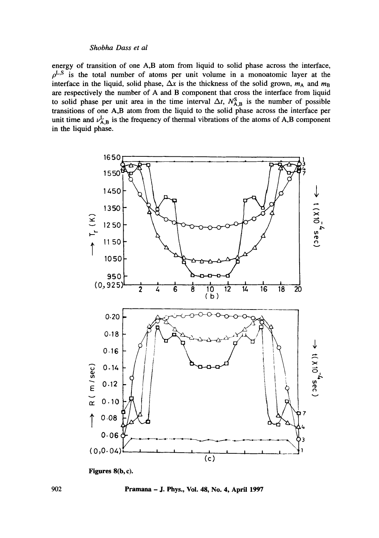energy of transition of one A,B atom from liquid to solid phase across the interface,  $\rho^{\text{L},\text{S}}$  is the total number of atoms per unit volume in a monoatomic layer at the interface in the liquid, solid phase,  $\Delta x$  is the thickness of the solid grown,  $m_A$  and  $m_B$ are respectively the number of A and B component that cross the interface from liquid to solid phase per unit area in the time interval  $\Delta t$ ,  $N_{A,B}^S$  is the number of possible transitions of one A,B atom from the liquid to the solid phase across the interface per unit time and  $\nu_{A,B}^L$  is the frequency of thermal vibrations of the atoms of A,B component in the liquid phase.



Figures 8(b, c).

Pramana - J. Phys., Vol. 48, No. 4, April 1997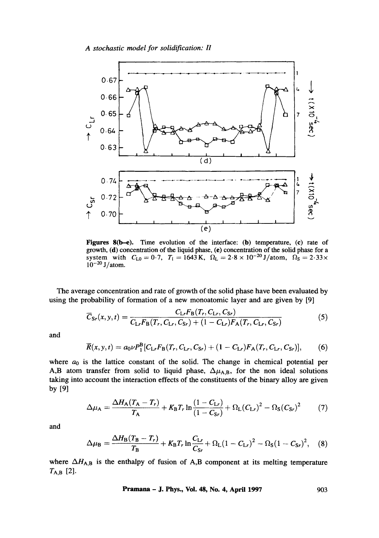*A stochastic model for solidification: H* 



**Figures** 8(b-e). Time evolution of the interface: (b) temperature, (c) rate of growth, (d) concentration of the liquid phase, (e) concentration of the solid phase for a system with  $C_{L0} = 0.7$ ,  $T_1 = 1643$  K,  $\Omega_L = 2.8 \times 10^{-20}$  J/atom,  $\Omega_S = 2.33 \times$  $10^{-20}$  J/atom.

The average concentration and rate of growth of the solid phase have been evaluated by using the probability of formation of a new monoatomic layer and are given by [9]

$$
\overline{C}_{\rm Sr}(x, y, t) = \frac{C_{\rm Lr} F_{\rm B}(T_r, C_{\rm Lr}, C_{\rm Sr})}{C_{\rm Lr} F_{\rm B}(T_r, C_{\rm Lr}, C_{\rm Sr}) + (1 - C_{\rm Lr}) F_{\rm A}(T_r, C_{\rm Lr}, C_{\rm Sr})}
$$
(5)

and

$$
\overline{R}(x, y, t) = a_0 \nu P_1^{\rm B} [C_{\rm Lr} F_{\rm B}(T_r, C_{\rm Lr}, C_{\rm Sr}) + (1 - C_{\rm Lr}) F_{\rm A}(T_r, C_{\rm Lr}, C_{\rm Sr})],\tag{6}
$$

where  $a_0$  is the lattice constant of the solid. The change in chemical potential per A,B atom transfer from solid to liquid phase,  $\Delta \mu_{A,B}$ , for the non ideal solutions taking into account the interaction effects of the constituents of the binary alloy are given by [9]

$$
\Delta \mu_{A} = \frac{\Delta H_{A}(T_{A} - T_{r})}{T_{A}} + K_{B}T_{r} \ln \frac{(1 - C_{Lr})}{(1 - C_{Sr})} + \Omega_{L}(C_{Lr})^{2} - \Omega_{S}(C_{Sr})^{2} \tag{7}
$$

and

$$
\Delta \mu_{\rm B} = \frac{\Delta H_{\rm B}(T_{\rm B} - T_r)}{T_{\rm B}} + K_{\rm B}T_r \ln \frac{C_{\rm Lr}}{C_{\rm Sr}} + \Omega_{\rm L}(1 - C_{\rm Lr})^2 - \Omega_{\rm S}(1 - C_{\rm Sr})^2, \quad (8)
$$

where  $\Delta H_{A,B}$  is the enthalpy of fusion of A,B component at its melting temperature  $T_{A,B}$  [2].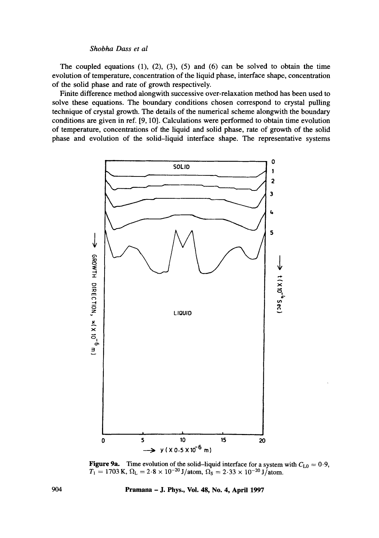The coupled equations  $(1)$ ,  $(2)$ ,  $(3)$ ,  $(5)$  and  $(6)$  can be solved to obtain the time evolution of temperature, concentration of the liquid phase, interface shape, concentration of the solid phase and rate of growth respectively.

Finite difference method alongwith successive over-relaxation method has been used to solve these equations. The boundary conditions chosen correspond to crystal pulling technique of crystal growth. The details of the numerical scheme alongwith the boundary conditions are given in ref. [9, 10]. Calculations were performed to obtain time evolution of temperature, concentrations of the liquid and solid phase, rate of growth of the solid phase and evolution of the solid-liquid interface shape. The representative systems



**Figure 9a.** Time evolution of the solid-liquid interface for a system with  $C_{10} = 0.9$ ,  $T_1 = 1703 \text{ K}, \Omega_{\text{L}} = 2.8 \times 10^{-20} \text{ J/atom}, \Omega_{\text{S}} = 2.33 \times 10^{-20} \text{ J/atom}.$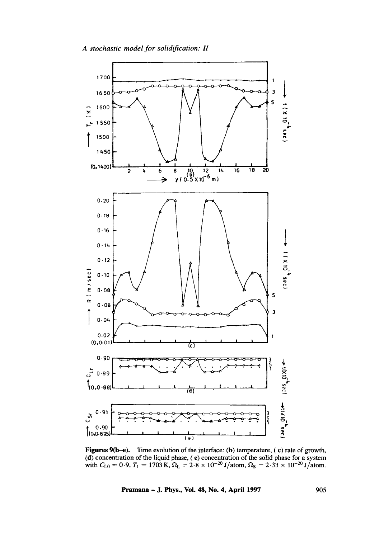

**Figures 9(b-e). Time evolution of the interface: (b) temperature,** ( **c) rate of growth,**  (d) concentration of the liquid phase, (e) concentration of the solid phase for a system with  $C_{L0} = 0.9$ ,  $T_1 = 1703$  K,  $\Omega_L = 2.8 \times 10^{-20}$  J/atom,  $\Omega_S = 2.33 \times 10^{-20}$  J/atom.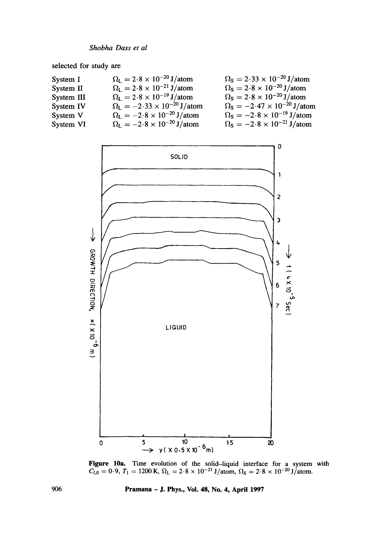selected for study are

| System I   | $\Omega_{\rm L} = 2.8 \times 10^{-20}$ J/atom              | $\Omega_{\rm S} = 2.33 \times 10^{-20}$ J/atom            |
|------------|------------------------------------------------------------|-----------------------------------------------------------|
| System II  | $\Omega_{\rm L} = 2.8 \times 10^{-21}$ J/atom              | $\Omega_{\rm S} = 2.8 \times 10^{-20} \,\mathrm{J/atom}$  |
| System III | $\Omega_{\rm L} = 2.8 \times 10^{-19} \,\mathrm{J/atom}$   | $\Omega_{\rm S} = 2.8 \times 10^{-20} \,\mathrm{J/atom}$  |
| System IV  | $\Omega_{\rm L} = -2.33 \times 10^{-20} \,\mathrm{J/atom}$ | $\Omega_{\rm S} = -2.47 \times 10^{-20} \,\rm J/atom$     |
| System V   | $\Omega_{\rm L} = -2.8 \times 10^{-20} \,\rm J/atom$       | $\Omega_{\rm S} = -2.8 \times 10^{-19} \,\mathrm{J/atom}$ |
| System VI  | $\Omega_{\rm L} = -2.8 \times 10^{-20} \,\mathrm{J/atom}$  | $\Omega_{\rm S} = -2.8 \times 10^{-21} \,\mathrm{J/atom}$ |



Figure 10a. Time evolution of the solid-liquid interface for a system with  $C_{\text{L0}} = 0.9, T_1 = 1200 \text{ K}, \Omega_{\text{L}} = 2.8 \times 10^{-21} \text{ J/atom}, \Omega_{\text{S}} = 2.8 \times 10^{-20} \text{ J/atom}.$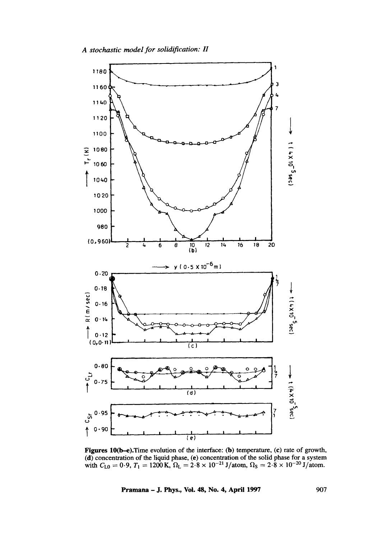

Figures 10(b-e). Time evolution of the interface: (b) temperature, (c) rate of growth, (d) concentration of the liquid phase, (e) concentration of the solid phase for a system with  $C_{10} = 0.9$ ,  $T_1 = 1200$  K,  $\Omega_L = 2.8 \times 10^{-21}$  J/atom,  $\Omega_S = 2.8 \times 10^{-20}$  J/atom.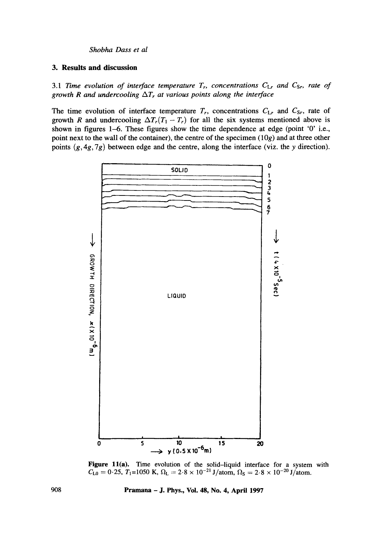# **3. Results and discussion**

3.1 Time evolution of interface temperature  $T_r$ , concentrations  $C_{Lr}$  and  $C_{Sr}$ , rate of *growth R and undercooling*  $\Delta T_r$  *at various points along the interface* 

The time evolution of interface temperature  $T_r$ , concentrations  $C_{Lr}$  and  $C_{Sr}$ , rate of **growth R and undercooling**  $\Delta T_r(T_1 - T_r)$  **for all the six systems mentioned above is shown in figures 1-6. These figures show the time dependence at edge (point '0' i.e., point next to the wall of the container), the centre of the specimen (10g) and at three other points (g, 4g, 7g) between edge and the centre, along the interface (viz. the y direction).** 



**Figure 11(a).** Time evolution of the solid–liquid interface for a system with  $C_{L0} = 0.25$ ,  $T_1 = 1050$  K,  $\Omega_L = 2.8 \times 10^{-21}$  J/atom,  $\Omega_S = 2.8 \times 10^{-20}$  J/atom.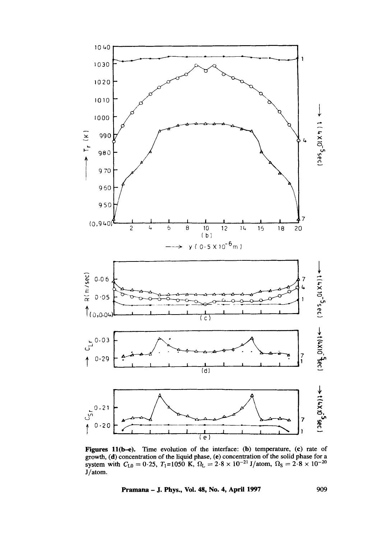

Figures 11(b-e). Time evolution of the interface: (b) temperature, (c) rate of growth, (d) concentration of the liquid phase, (e) concentration of the solid phase for a<br>system with  $C_{L0} = 0.25$ ,  $T_1=1050$  K,  $\Omega_L = 2.8 \times 10^{-21}$  J/atom,  $\Omega_S = 2.8 \times 10^{-20}$ J/atom.

Pramana - J. Phys., Vol. 48, No. 4, April 1997

909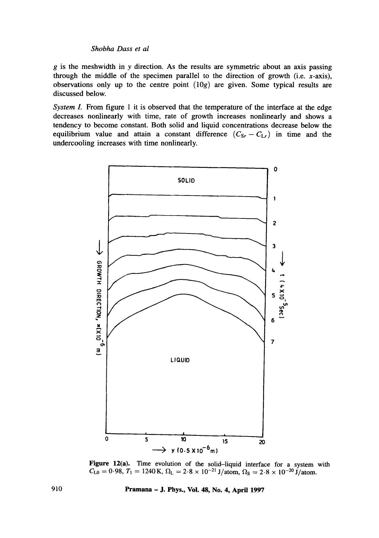$g$  is the meshwidth in y direction. As the results are symmetric about an axis passing through the middle of the specimen parallel to the direction of growth (i.e.  $x$ -axis), observations only up to the centre point  $(10g)$  are given. Some typical results are discussed below.

*System I.* From figure 1 it is observed that the temperature of the interface at the edge decreases nonlinearly with time, rate of growth increases nonlinearly and shows a tendency to become constant. Both solid and liquid concentrations decrease below the equilibrium value and attain a constant difference  $(C_{\text{Sr}} - C_{\text{L}})$  in time and the undercooling increases with time nonlinearly.



Figure 12(a). Time evolution of the solid-liquid interface for a system with  $C_{\text{L0}} = 0.98, T_1 = 1240 \text{ K}, \Omega_{\text{L}} = 2.8 \times 10^{-21} \text{ J/atom}, \Omega_{\text{S}} = 2.8 \times 10^{-20} \text{ J/atom}.$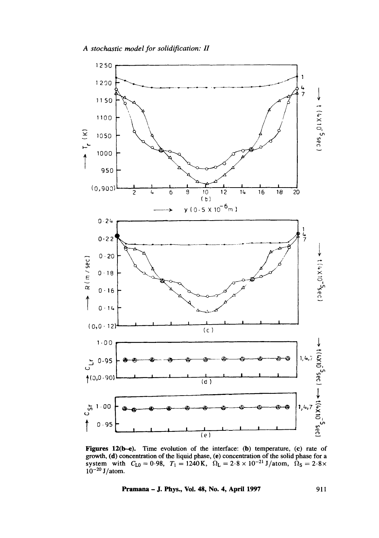

Figures 12( $b-e$ ). Time evolution of the interface: ( $b$ ) temperature, (c) rate of growth, (d) concentration of the liquid phase, (e) concentration of the solid phase for a system with  $C_{L0} = 0.98$ ,  $T_1 = 1240 \text{ K}$ ,  $\Omega_L = 2.8 \times 10^{-21} \text{ J/atom}$ ,  $\Omega_S = 2.8 \times 10^{-21} \text{ J}$  $10^{-20}$  J/atom.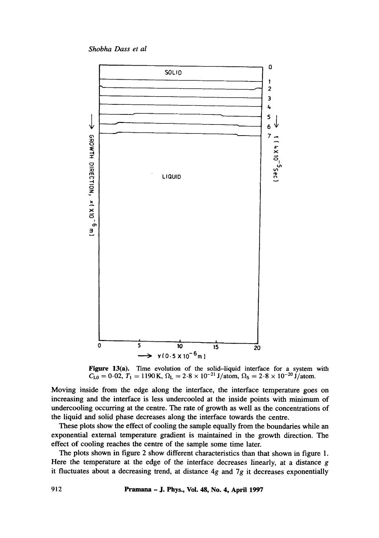*Shobha Dass et al* 



Figure 13(a). Time evolution of the solid-liquid interface for a system with  $C_{L0} = 0.02$ ,  $T_1 = 1190$  K,  $\Omega_L = 2.8 \times 10^{-21}$  J/atom,  $\Omega_S = 2.8 \times 10^{-20}$  J/atom.

Moving inside from the edge along the interface, the interface temperature goes on increasing and the interface is less undercooled at the inside points with minimum of undercooling occurring at the centre. The rate of growth as well as the concentrations of the liquid and solid phase decreases along the interface towards the centre.

These plots show the effect of cooling the sample equally from the boundaries while an exponential external temperature gradient is maintained in the growth direction. The effect of cooling reaches the centre of the sample some time later.

The plots shown in figure 2 show different characteristics than that shown in figure 1. Here the temperature at the edge of the interface decreases linearly, at a distance g it fluctuates about a decreasing trend, at distance  $4g$  and  $7g$  it decreases exponentially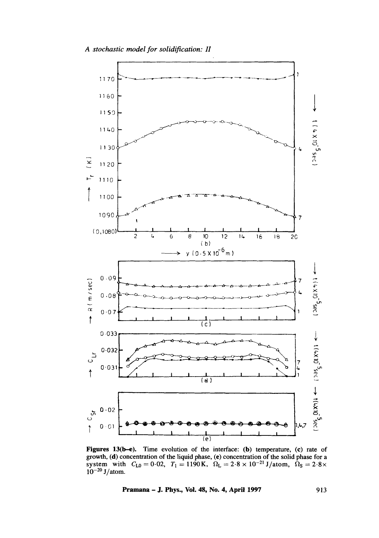

growth, (d) concentration of the liquid phase, (e) concentration of the solid phase for a system with  $C_{L0} = 0.02$ ,  $T_1 = 1190$  K,  $\Omega_L = 2.8 \times 10^{-21}$  J/atom,  $\Omega_S = 2.8 \times 10^{-20}$  J/atom.

#### Pramana - J. Phys., Vol. 48, No. 4, April 1997

913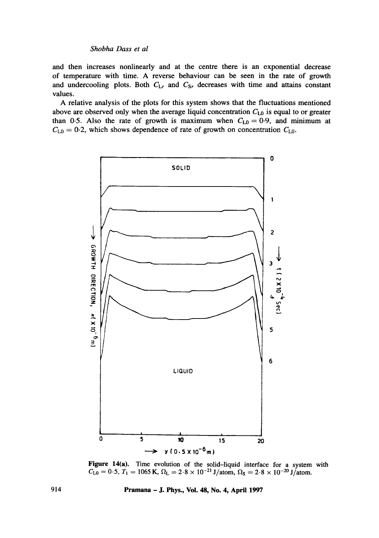and then increases nonlinearly and at the centre there is an exponential decrease of temperature with time. A reverse behaviour can be seen in the rate of growth and undercooling plots. Both  $C_{Lr}$  and  $C_{Sr}$  decreases with time and attains constant values.

A relative analysis of the plots for this system shows that the fluctuations mentioned above are observed only when the average liquid concentration  $C_{L0}$  is equal to or greater than 0.5. Also the rate of growth is maximum when  $C_{L0} = 0.9$ , and minimum at  $C_{L0} = 0.2$ , which shows dependence of rate of growth on concentration  $C_{L0}$ .



Figure 14(a). Time evolution of the solid-liquid interface for a system with  $C_{\text{L0}} = 0.5, T_1 = 1065 \text{ K}, \Omega_{\text{L}} = 2.8 \times 10^{-21} \text{ J/atom}, \Omega_{\text{S}} = 2.8 \times 10^{-20} \text{ J/atom}.$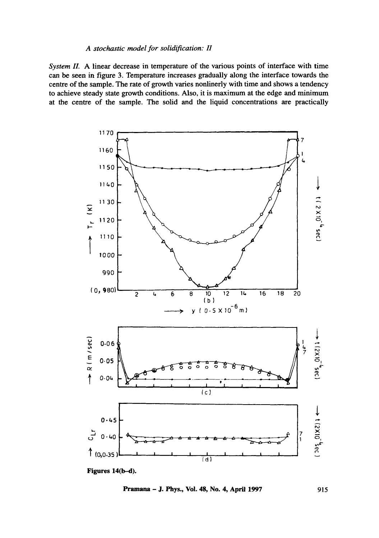## *A stochastic model for solidification: II*

*System II.* A linear decrease in temperature of the various points of interface with time can be seen in figure 3. Temperature increases gradually along the interface towards the centre of the sample. The rate of growth varies nonlinerly with time and shows a tendency to achieve steady state growth conditions. Also, it is maximum at the edge and minimum at the centre of the sample. The solid and the liquid concentrations are practically



**Pramana - J. Phys., Vol. 48, No. 4, April 1997** 915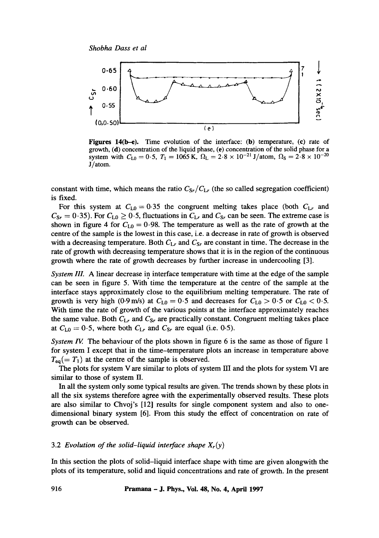

Figures  $14(b-e)$ . Time evolution of the interface: (b) temperature, (c) rate of growth, (d) concentration of the liquid phase, (e) concentration of the solid phase for a system with  $C_{L0} = 0.5$ ,  $T_1 = 1065$  K,  $\Omega_L = 2.8 \times 10^{-21}$  J/atom,  $\Omega_S = 2.8 \times 10^{-20}$ J/atom.

constant with time, which means the ratio  $C_{S_r}/C_{L_r}$  (the so called segregation coefficient) is fixed.

For this system at  $C_{L0} = 0.35$  the congruent melting takes place (both  $C_{Lr}$  and  $C_{\text{Sr}} = 0.35$ ). For  $C_{\text{L0}} \ge 0.5$ , fluctuations in  $C_{\text{Lr}}$  and  $C_{\text{Sr}}$  can be seen. The extreme case is shown in figure 4 for  $C_{L0} = 0.98$ . The temperature as well as the rate of growth at the centre of the sample is the lowest in this case, i.e. a decrease in rate of growth is observed with a decreasing temperature. Both  $C_{Lr}$  and  $C_{Sr}$  are constant in time. The decrease in the rate of growth with decreasing temperature shows that it is in the region of the continuous growth where the rate of growth decreases by further increase in undercooling [3].

*System IlL* A linear decrease in interface temperature with time at the edge of the sample can be seen in figure 5. With time the temperature at the centre of the sample at the interface stays approximately close to the equilibrium melting temperature. The rate of growth is very high (0.9 m/s) at  $C_{L0} = 0.5$  and decreases for  $C_{L0} > 0.5$  or  $C_{L0} < 0.5$ . With time the rate of growth of the various points at the interface approximately reaches the same value. Both *CLr* and *Csr are* practically constant. Congruent melting takes place at  $C_{L0} = 0.5$ , where both  $C_{Lr}$  and  $C_{Sr}$  are equal (i.e. 0.5).

*System IV.* The behaviour of the plots shown in figure 6 is the same as those of figure 1 for system I except that in the time-temperature plots an increase in temperature above  $T_{eq} (= T_1)$  at the centre of the sample is observed.

The plots for system V are similar to plots of system  $III$  and the plots for system VI are similar to those of system II.

In all the system only some typical results are given. The trends shown by these plots in all the six systems therefore agree with the experimentally observed results. These plots are also similar to Chvoj's [12] results for single component system and also to onedimensional binary system [6]. From this study the effect of concentration on rate of growth can be observed.

#### 3.2 *Evolution of the solid-liquid interface shape*  $X_r(y)$

In this section the plots of solid-liquid interface shape with time are given alongwith the plots of its temperature, solid and liquid concentrations and rate of growth. In the present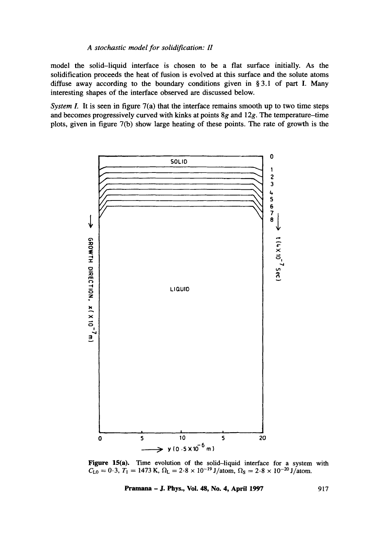## *A stochastic model for solidification: H*

model the solid-liquid interface is chosen to be a fiat surface initially. As the solidification proceeds the heat of fusion is evolved at this surface and the solute atoms diffuse away according to the boundary conditions given in § 3.1 of part I. Many interesting shapes of the interface observed are discussed below.

*System I.* It is seen in figure 7(a) that the interface remains smooth up to two time steps and becomes progressively curved with kinks at points 8g and 12g. The temperature-time plots, given in figure 7(b) show large heating of these points. The rate of growth is the



**Figure 15(a). Time evolution of the solid-liquid interface for a system with**   $C_{L0} = 0.3$ ,  $T_1 = 1473$  K,  $\Omega_L = 2.8 \times 10^{-19}$  J/atom,  $\Omega_S = 2.8 \times 10^{-20}$  J/atom.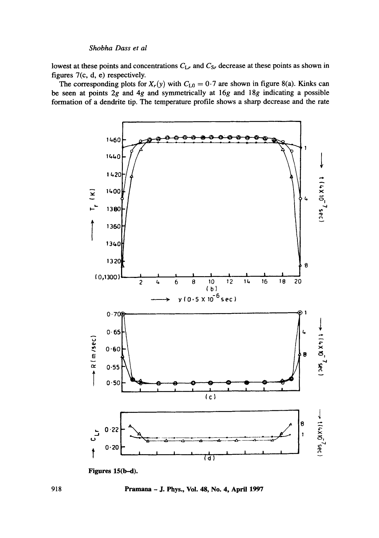lowest at these points and concentrations  $C_{Lr}$  and  $C_{Sr}$  decrease at these points as shown in figures 7(c, d, e) respectively.

The corresponding plots for  $X_r(y)$  with  $C_{L0} = 0.7$  are shown in figure 8(a). Kinks can be seen at points  $2g$  and  $4g$  and symmetrically at  $16g$  and  $18g$  indicating a possible formation of a dendrite tip. The temperature profile shows a sharp decrease and the rate



Figures 15(b-d).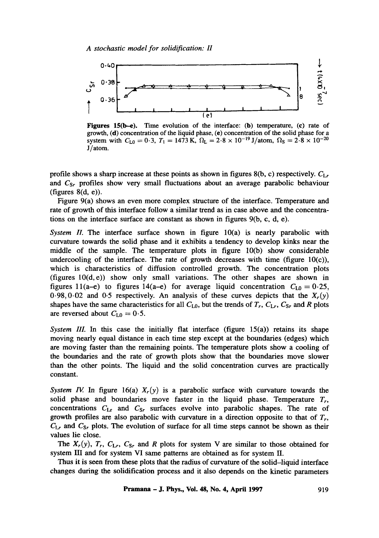

Figures 15( $b-e$ ). Time evolution of the interface: (b) temperature, (c) rate of growth, (d) concentration of the liquid phase, (e) concentration of the solid phase for a system with  $C_{L0} = 0.3$ ,  $T_1 = 1473$  K,  $\Omega_L = 2.8 \times 10^{-19}$  J/atom,  $\Omega_S = 2.8 \times 10^{-20}$ J/atom.

profile shows a sharp increase at these points as shown in figures 8(b, c) respectively.  $C_{Lr}$ *and Csr* profiles show very small fluctuations about an average parabolic behaviour (figures  $8(d, e)$ ).

Figure 9(a) shows an even more complex structure of the interface. Temperature and rate of growth of this interface follow a similar trend as in case above and the concentrations on the interface surface are constant as shown in figures 9(b, c, d, e).

*System II.* The interface surface shown in figure 10(a) is nearly parabolic with curvature towards the solid phase and it exhibits a tendency to develop kinks near the middle of the sample. The temperature plots in figure 10(b) show considerable undercooling of the interface. The rate of growth decreases with time (figure  $10(c)$ ), which is characteristics of diffusion controlled growth. The concentration plots (figures  $10(d, e)$ ) show only small variations. The other shapes are shown in figures 11(a-e) to figures 14(a-e) for average liquid concentration  $C_{L0}=0.25$ ,  $0.98, 0.02$  and 0.5 respectively. An analysis of these curves depicts that the  $X_r(y)$ shapes have the same characteristics for all  $C_{L0}$ , but the trends of  $T_r$ ,  $C_{Lr}$ ,  $C_{Sr}$  and R plots are reversed about  $C_{L0} = 0.5$ .

*System III.* In this case the initially flat interface (figure  $15(a)$ ) retains its shape moving nearly equal distance in each time step except at the boundaries (edges) which are moving faster than the remaining points. The temperature plots show a cooling of the boundaries and the rate of growth plots show that the boundaries move slower than the other points. The liquid and the solid concentration curves are practically constant.

*System IV.* In figure 16(a)  $X_r(y)$  is a parabolic surface with curvature towards the solid phase and boundaries move faster in the liquid phase. Temperature  $T_r$ , concentrations  $C_{Lr}$  and  $C_{Sr}$  surfaces evolve into parabolic shapes. The rate of growth profiles are also parabolic with curvature in a direction opposite to that of  $T_r$ ,  $C_{Lr}$  and  $C_{Sr}$  plots. The evolution of surface for all time steps cannot be shown as their values lie close.

The  $X_r(y)$ ,  $T_r$ ,  $C_{Lr}$ ,  $C_{Sr}$  and R plots for system V are similar to those obtained for system III and for system VI same patterns are obtained as for system II.

Thus it is seen from these plots that the radius of curvature of the solid-liquid interface changes during the solidification process and it also depends on the kinetic parameters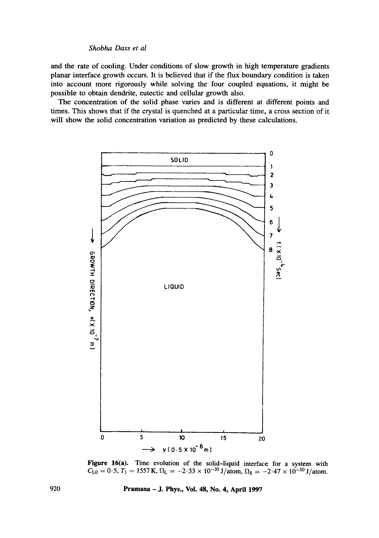and the rate of cooling. Under conditions of slow growth in high temperature gradients planar interface growth occurs. It is believed that if the flux boundary condition is taken into account more rigorously while solving the four coupled equations, it might be possible to obtain dendrite, eutectic and cellular growth also.

The concentration of the solid phase varies and is different at different points and times. This shows that if the crystal is quenched at a particular time, a cross section of it will show the solid concentration variation as predicted by these calculations.



Figure 16(a). Time evolution of the solid-liquid interface for a system with  $C_{\text{L0}} = 0.5, T_1 = 1557 \text{ K}, \Omega_{\text{L}} = -2.33 \times 10^{-20} \text{ J/atom}, \Omega_{\text{S}} = -2.47 \times 10^{-20} \text{ J/atom}.$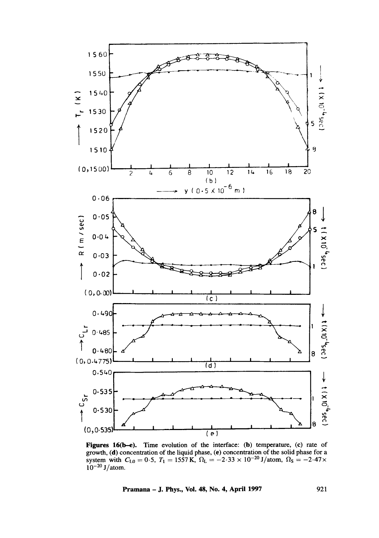

Figures 16(b-e). Time evolution of the interface: (b) temperature, (c) rate of growth, (d) concentration of the liquid phase, (e) concentration of the solid phase for a system with  $C_{L0} = 0.5$ ,  $T_1 = 1557$  K,  $\Omega_L = -2.33 \times 10^{-20}$  J/atom,  $\Omega_S = -2.47 \times$  $10^{-20}$  J/atom.